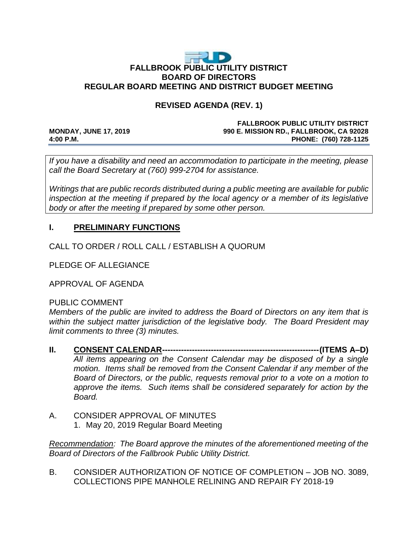# **FALLBROOK PUBLIC UTILITY DISTRICT BOARD OF DIRECTORS REGULAR BOARD MEETING AND DISTRICT BUDGET MEETING**

### **REVISED AGENDA (REV. 1)**

**FALLBROOK PUBLIC UTILITY DISTRICT MONDAY, JUNE 17, 2019 990 E. MISSION RD., FALLBROOK, CA 92028 4:00 P.M. PHONE: (760) 728-1125**

*If you have a disability and need an accommodation to participate in the meeting, please call the Board Secretary at (760) 999-2704 for assistance.* 

*Writings that are public records distributed during a public meeting are available for public inspection at the meeting if prepared by the local agency or a member of its legislative body or after the meeting if prepared by some other person.* 

#### **I. PRELIMINARY FUNCTIONS**

CALL TO ORDER / ROLL CALL / ESTABLISH A QUORUM

PLEDGE OF ALLEGIANCE

APPROVAL OF AGENDA

#### PUBLIC COMMENT

*Members of the public are invited to address the Board of Directors on any item that is within the subject matter jurisdiction of the legislative body. The Board President may limit comments to three (3) minutes.*

- **II. CONSENT CALENDAR----------------------------------------------------------(ITEMS A–D)** *All items appearing on the Consent Calendar may be disposed of by a single motion. Items shall be removed from the Consent Calendar if any member of the Board of Directors, or the public, requests removal prior to a vote on a motion to approve the items. Such items shall be considered separately for action by the Board.*
- A. CONSIDER APPROVAL OF MINUTES 1. May 20, 2019 Regular Board Meeting

*Recommendation: The Board approve the minutes of the aforementioned meeting of the Board of Directors of the Fallbrook Public Utility District.* 

B. CONSIDER AUTHORIZATION OF NOTICE OF COMPLETION – JOB NO. 3089, COLLECTIONS PIPE MANHOLE RELINING AND REPAIR FY 2018-19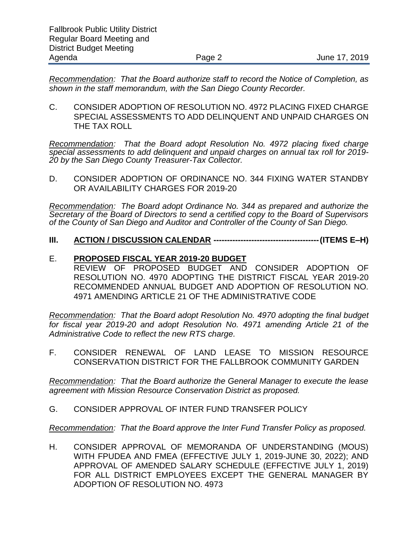*Recommendation: That the Board authorize staff to record the Notice of Completion, as shown in the staff memorandum, with the San Diego County Recorder.* 

C. CONSIDER ADOPTION OF RESOLUTION NO. 4972 PLACING FIXED CHARGE SPECIAL ASSESSMENTS TO ADD DELINQUENT AND UNPAID CHARGES ON THE TAX ROLL

*Recommendation: That the Board adopt Resolution No. 4972 placing fixed charge special assessments to add delinquent and unpaid charges on annual tax roll for 2019- 20 by the San Diego County Treasurer-Tax Collector.* 

D. CONSIDER ADOPTION OF ORDINANCE NO. 344 FIXING WATER STANDBY OR AVAILABILITY CHARGES FOR 2019-20

*Recommendation: The Board adopt Ordinance No. 344 as prepared and authorize the Secretary of the Board of Directors to send a certified copy to the Board of Supervisors of the County of San Diego and Auditor and Controller of the County of San Diego.*

**III. ACTION / DISCUSSION CALENDAR ---------------------------------------(ITEMS E–H)**

#### E. **PROPOSED FISCAL YEAR 2019-20 BUDGET**

REVIEW OF PROPOSED BUDGET AND CONSIDER ADOPTION OF RESOLUTION NO. 4970 ADOPTING THE DISTRICT FISCAL YEAR 2019-20 RECOMMENDED ANNUAL BUDGET AND ADOPTION OF RESOLUTION NO. 4971 AMENDING ARTICLE 21 OF THE ADMINISTRATIVE CODE

*Recommendation: That the Board adopt Resolution No. 4970 adopting the final budget for fiscal year 2019-20 and adopt Resolution No. 4971 amending Article 21 of the Administrative Code to reflect the new RTS charge.* 

F. CONSIDER RENEWAL OF LAND LEASE TO MISSION RESOURCE CONSERVATION DISTRICT FOR THE FALLBROOK COMMUNITY GARDEN

*Recommendation: That the Board authorize the General Manager to execute the lease agreement with Mission Resource Conservation District as proposed.* 

G. CONSIDER APPROVAL OF INTER FUND TRANSFER POLICY

*Recommendation: That the Board approve the Inter Fund Transfer Policy as proposed.* 

H. CONSIDER APPROVAL OF MEMORANDA OF UNDERSTANDING (MOUS) WITH FPUDEA AND FMEA (EFFECTIVE JULY 1, 2019-JUNE 30, 2022); AND APPROVAL OF AMENDED SALARY SCHEDULE (EFFECTIVE JULY 1, 2019) FOR ALL DISTRICT EMPLOYEES EXCEPT THE GENERAL MANAGER BY ADOPTION OF RESOLUTION NO. 4973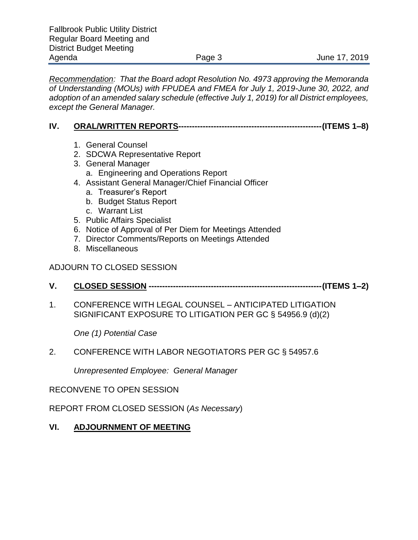*Recommendation: That the Board adopt Resolution No. 4973 approving the Memoranda of Understanding (MOUs) with FPUDEA and FMEA for July 1, 2019-June 30, 2022, and adoption of an amended salary schedule (effective July 1, 2019) for all District employees, except the General Manager.*

## **IV. ORAL/WRITTEN REPORTS-----------------------------------------------------(ITEMS 1–8)**

- 1. General Counsel
- 2. SDCWA Representative Report
- 3. General Manager
	- a. Engineering and Operations Report
- 4. Assistant General Manager/Chief Financial Officer
	- a. Treasurer's Report
	- b. Budget Status Report
	- c. Warrant List
- 5. Public Affairs Specialist
- 6. Notice of Approval of Per Diem for Meetings Attended
- 7. Director Comments/Reports on Meetings Attended
- 8. Miscellaneous

#### ADJOURN TO CLOSED SESSION

- **V. CLOSED SESSION ----------------------------------------------------------------(ITEMS 1–2)**
- 1. CONFERENCE WITH LEGAL COUNSEL ANTICIPATED LITIGATION SIGNIFICANT EXPOSURE TO LITIGATION PER GC § 54956.9 (d)(2)

*One (1) Potential Case*

2. CONFERENCE WITH LABOR NEGOTIATORS PER GC § 54957.6

*Unrepresented Employee: General Manager*

RECONVENE TO OPEN SESSION

REPORT FROM CLOSED SESSION (*As Necessary*)

#### **VI. ADJOURNMENT OF MEETING**